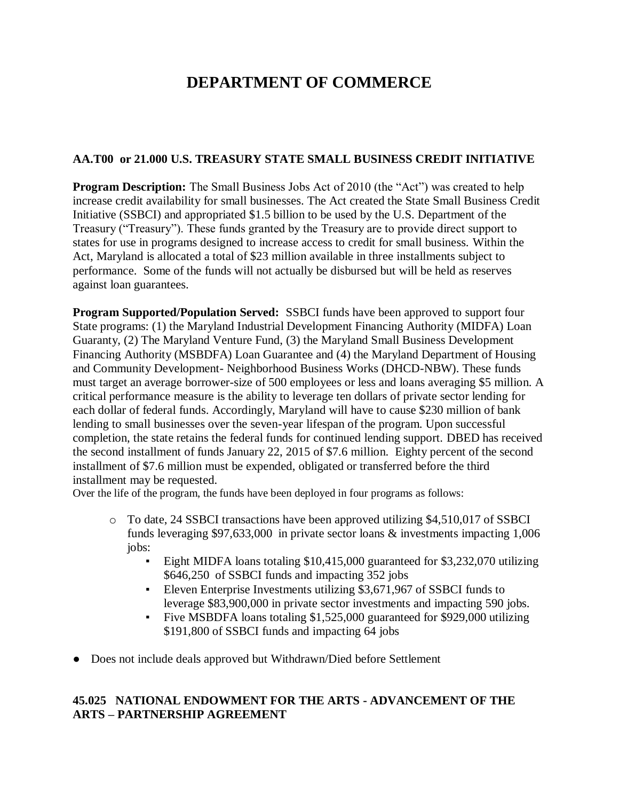# **DEPARTMENT OF COMMERCE**

## **AA.T00 or 21.000 U.S. TREASURY STATE SMALL BUSINESS CREDIT INITIATIVE**

**Program Description:** The Small Business Jobs Act of 2010 (the "Act") was created to help increase credit availability for small businesses. The Act created the State Small Business Credit Initiative (SSBCI) and appropriated \$1.5 billion to be used by the U.S. Department of the Treasury ("Treasury"). These funds granted by the Treasury are to provide direct support to states for use in programs designed to increase access to credit for small business. Within the Act, Maryland is allocated a total of \$23 million available in three installments subject to performance. Some of the funds will not actually be disbursed but will be held as reserves against loan guarantees.

**Program Supported/Population Served:** SSBCI funds have been approved to support four State programs: (1) the Maryland Industrial Development Financing Authority (MIDFA) Loan Guaranty, (2) The Maryland Venture Fund, (3) the Maryland Small Business Development Financing Authority (MSBDFA) Loan Guarantee and (4) the Maryland Department of Housing and Community Development- Neighborhood Business Works (DHCD-NBW). These funds must target an average borrower-size of 500 employees or less and loans averaging \$5 million. A critical performance measure is the ability to leverage ten dollars of private sector lending for each dollar of federal funds. Accordingly, Maryland will have to cause \$230 million of bank lending to small businesses over the seven-year lifespan of the program. Upon successful completion, the state retains the federal funds for continued lending support. DBED has received the second installment of funds January 22, 2015 of \$7.6 million. Eighty percent of the second installment of \$7.6 million must be expended, obligated or transferred before the third installment may be requested.

Over the life of the program, the funds have been deployed in four programs as follows:

- o To date, 24 SSBCI transactions have been approved utilizing \$4,510,017 of SSBCI funds leveraging \$97,633,000 in private sector loans & investments impacting 1,006 jobs:
	- Eight MIDFA loans totaling \$10,415,000 guaranteed for \$3,232,070 utilizing \$646,250 of SSBCI funds and impacting 352 jobs
	- Eleven Enterprise Investments utilizing \$3,671,967 of SSBCI funds to leverage \$83,900,000 in private sector investments and impacting 590 jobs.
	- Five MSBDFA loans totaling \$1,525,000 guaranteed for \$929,000 utilizing \$191,800 of SSBCI funds and impacting 64 jobs
- Does not include deals approved but Withdrawn/Died before Settlement

## **45.025 NATIONAL ENDOWMENT FOR THE ARTS - ADVANCEMENT OF THE ARTS – PARTNERSHIP AGREEMENT**